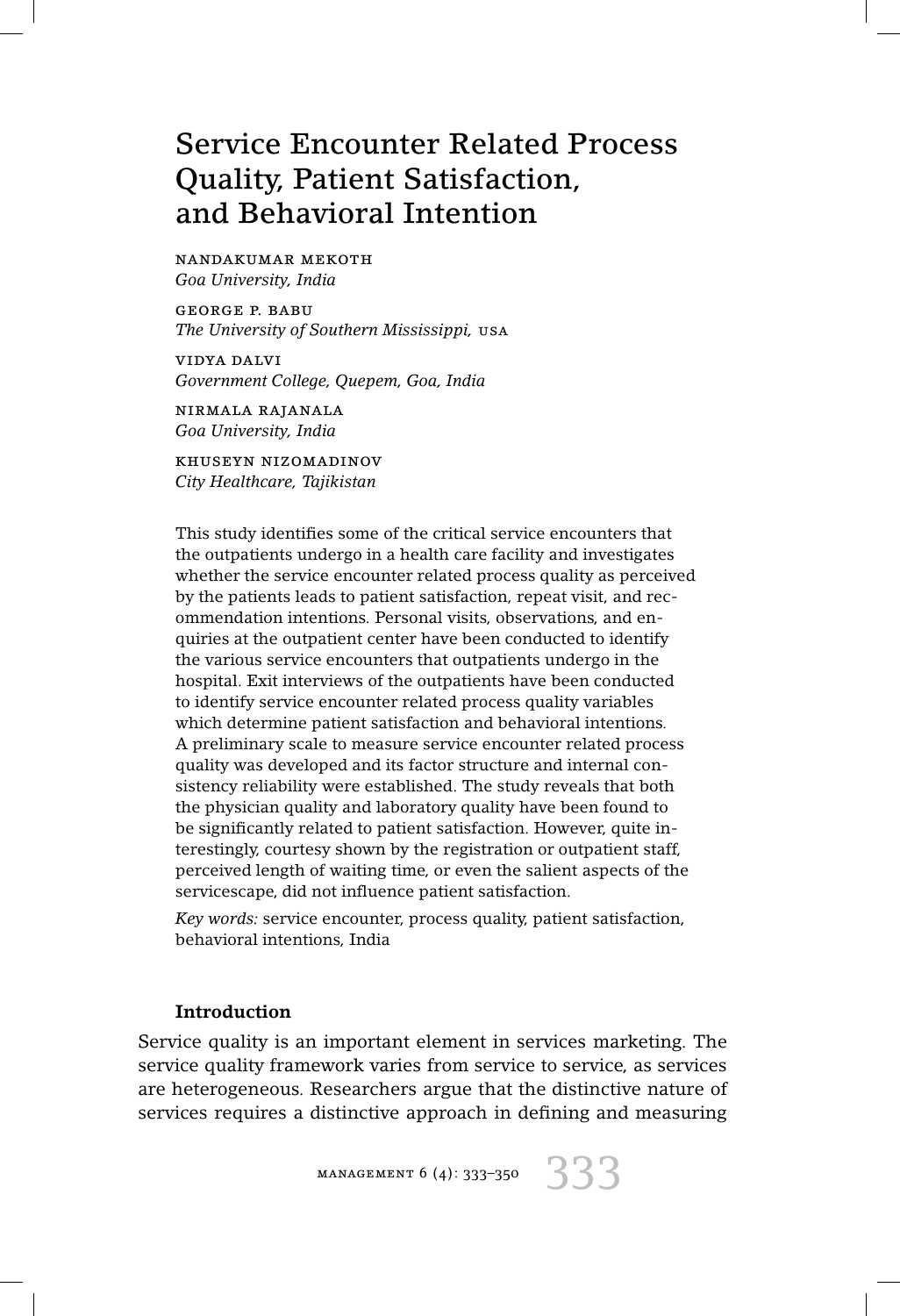# Service Encounter Related Process Quality, Patient Satisfaction, and Behavioral Intention

nandakumar mekoth *Goa University, India*

george p. babu *The University of Southern Mississippi,* usa

vidya dalvi *Government College, Quepem, Goa, India*

nirmala rajanala *Goa University, India*

khuseyn nizomadinov *City Healthcare, Tajikistan*

This study identifies some of the critical service encounters that the outpatients undergo in a health care facility and investigates whether the service encounter related process quality as perceived by the patients leads to patient satisfaction, repeat visit, and recommendation intentions. Personal visits, observations, and enquiries at the outpatient center have been conducted to identify the various service encounters that outpatients undergo in the hospital. Exit interviews of the outpatients have been conducted to identify service encounter related process quality variables which determine patient satisfaction and behavioral intentions. A preliminary scale to measure service encounter related process quality was developed and its factor structure and internal consistency reliability were established. The study reveals that both the physician quality and laboratory quality have been found to be significantly related to patient satisfaction. However, quite interestingly, courtesy shown by the registration or outpatient staff, perceived length of waiting time, or even the salient aspects of the servicescape, did not influence patient satisfaction.

*Key words:* service encounter, process quality, patient satisfaction, behavioral intentions, India

## **Introduction**

Service quality is an important element in services marketing. The service quality framework varies from service to service, as services are heterogeneous. Researchers argue that the distinctive nature of services requires a distinctive approach in defining and measuring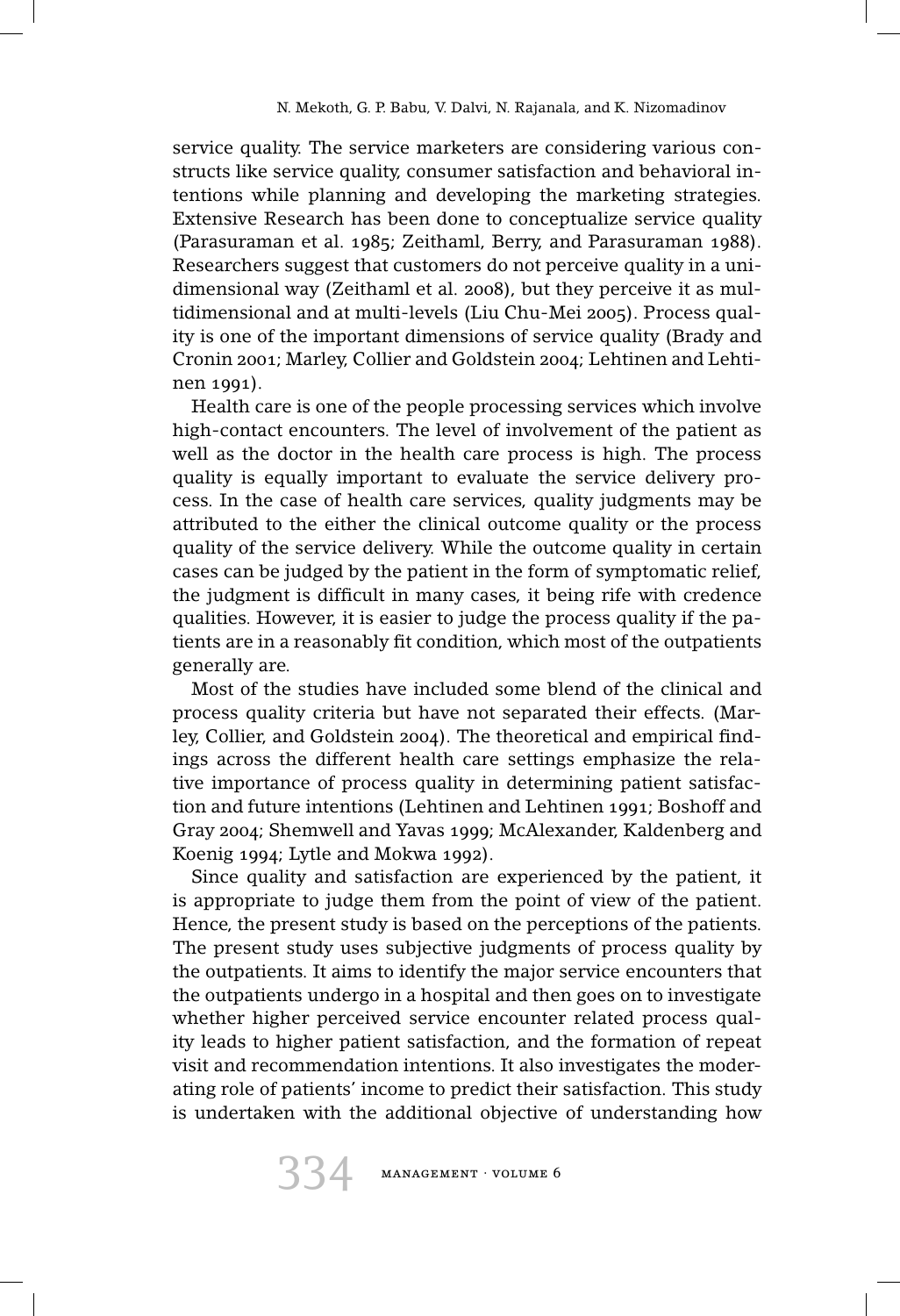service quality. The service marketers are considering various constructs like service quality, consumer satisfaction and behavioral intentions while planning and developing the marketing strategies. Extensive Research has been done to conceptualize service quality (Parasuraman et al. 1985; Zeithaml, Berry, and Parasuraman 1988). Researchers suggest that customers do not perceive quality in a unidimensional way (Zeithaml et al. 2008), but they perceive it as multidimensional and at multi-levels (Liu Chu-Mei 2005). Process quality is one of the important dimensions of service quality (Brady and Cronin 2001; Marley, Collier and Goldstein 2004; Lehtinen and Lehtinen 1991).

Health care is one of the people processing services which involve high-contact encounters. The level of involvement of the patient as well as the doctor in the health care process is high. The process quality is equally important to evaluate the service delivery process. In the case of health care services, quality judgments may be attributed to the either the clinical outcome quality or the process quality of the service delivery. While the outcome quality in certain cases can be judged by the patient in the form of symptomatic relief, the judgment is difficult in many cases, it being rife with credence qualities. However, it is easier to judge the process quality if the patients are in a reasonably fit condition, which most of the outpatients generally are.

Most of the studies have included some blend of the clinical and process quality criteria but have not separated their effects. (Marley, Collier, and Goldstein 2004). The theoretical and empirical findings across the different health care settings emphasize the relative importance of process quality in determining patient satisfaction and future intentions (Lehtinen and Lehtinen 1991; Boshoff and Gray 2004; Shemwell and Yavas 1999; McAlexander, Kaldenberg and Koenig 1994; Lytle and Mokwa 1992).

Since quality and satisfaction are experienced by the patient, it is appropriate to judge them from the point of view of the patient. Hence, the present study is based on the perceptions of the patients. The present study uses subjective judgments of process quality by the outpatients. It aims to identify the major service encounters that the outpatients undergo in a hospital and then goes on to investigate whether higher perceived service encounter related process quality leads to higher patient satisfaction, and the formation of repeat visit and recommendation intentions. It also investigates the moderating role of patients' income to predict their satisfaction. This study is undertaken with the additional objective of understanding how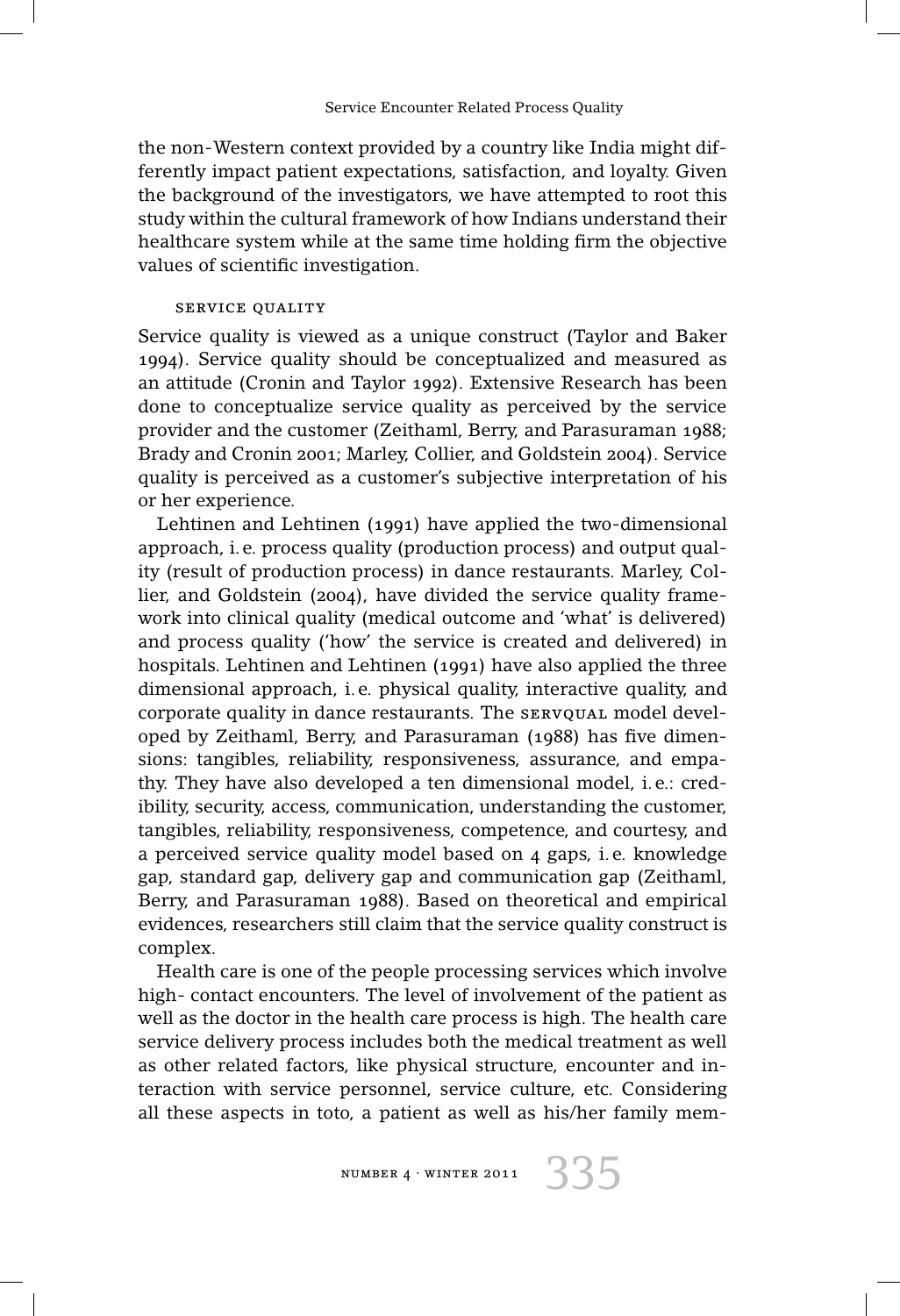the non-Western context provided by a country like India might differently impact patient expectations, satisfaction, and loyalty. Given the background of the investigators, we have attempted to root this study within the cultural framework of how Indians understand their healthcare system while at the same time holding firm the objective values of scientific investigation.

#### service quality

Service quality is viewed as a unique construct (Taylor and Baker 1994). Service quality should be conceptualized and measured as an attitude (Cronin and Taylor 1992). Extensive Research has been done to conceptualize service quality as perceived by the service provider and the customer (Zeithaml, Berry, and Parasuraman 1988; Brady and Cronin 2001; Marley, Collier, and Goldstein 2004). Service quality is perceived as a customer's subjective interpretation of his or her experience.

Lehtinen and Lehtinen (1991) have applied the two-dimensional approach, i. e. process quality (production process) and output quality (result of production process) in dance restaurants. Marley, Collier, and Goldstein (2004), have divided the service quality framework into clinical quality (medical outcome and 'what' is delivered) and process quality ('how' the service is created and delivered) in hospitals. Lehtinen and Lehtinen (1991) have also applied the three dimensional approach, i. e. physical quality, interactive quality, and corporate quality in dance restaurants. The sERVQUAL model developed by Zeithaml, Berry, and Parasuraman (1988) has five dimensions: tangibles, reliability, responsiveness, assurance, and empathy. They have also developed a ten dimensional model, i. e.: credibility, security, access, communication, understanding the customer, tangibles, reliability, responsiveness, competence, and courtesy, and a perceived service quality model based on 4 gaps, i. e. knowledge gap, standard gap, delivery gap and communication gap (Zeithaml, Berry, and Parasuraman 1988). Based on theoretical and empirical evidences, researchers still claim that the service quality construct is complex.

Health care is one of the people processing services which involve high- contact encounters. The level of involvement of the patient as well as the doctor in the health care process is high. The health care service delivery process includes both the medical treatment as well as other related factors, like physical structure, encounter and interaction with service personnel, service culture, etc. Considering all these aspects in toto, a patient as well as his/her family mem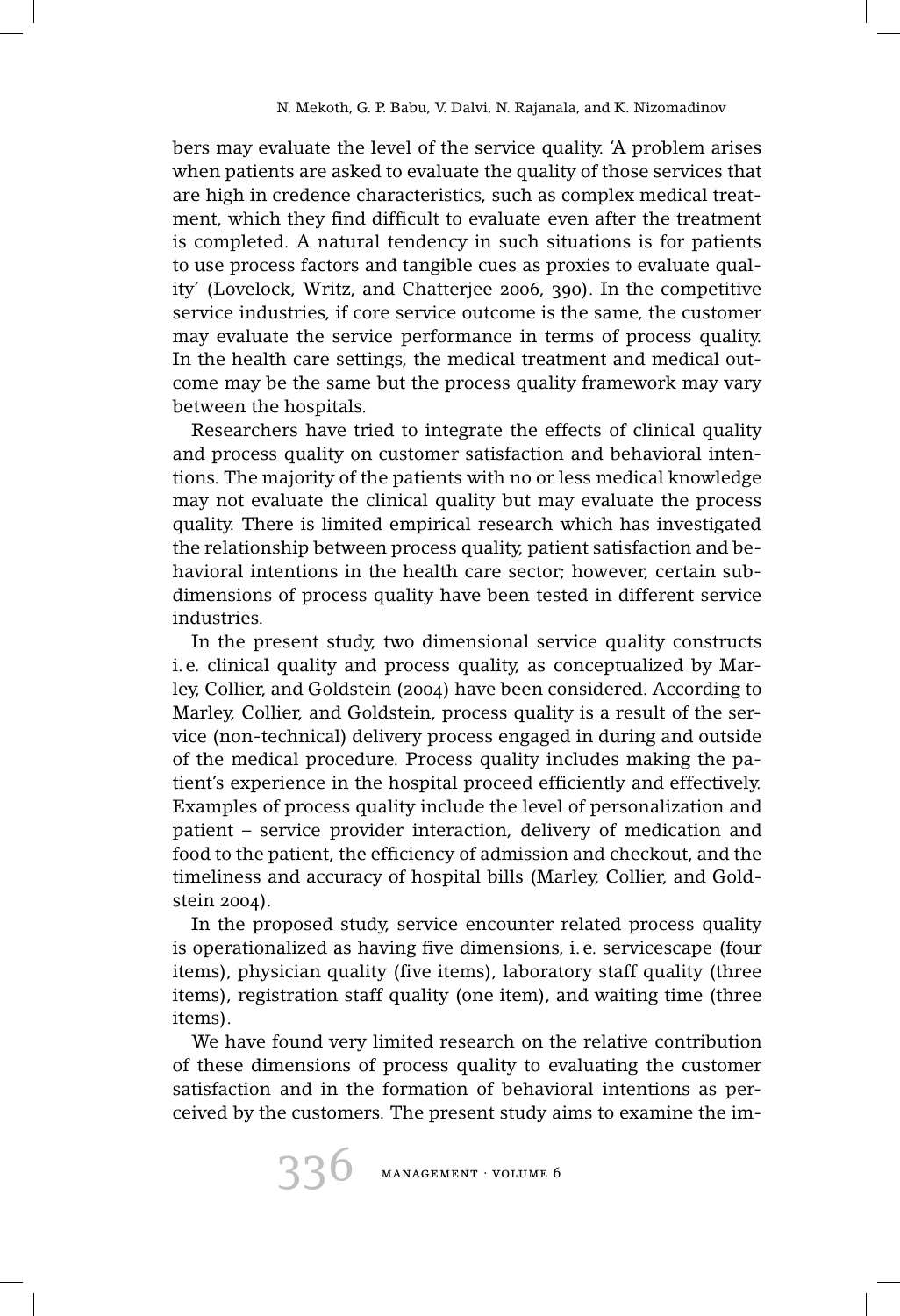bers may evaluate the level of the service quality. 'A problem arises when patients are asked to evaluate the quality of those services that are high in credence characteristics, such as complex medical treatment, which they find difficult to evaluate even after the treatment is completed. A natural tendency in such situations is for patients to use process factors and tangible cues as proxies to evaluate quality' (Lovelock, Writz, and Chatterjee 2006, 390). In the competitive service industries, if core service outcome is the same, the customer may evaluate the service performance in terms of process quality. In the health care settings, the medical treatment and medical outcome may be the same but the process quality framework may vary between the hospitals.

Researchers have tried to integrate the effects of clinical quality and process quality on customer satisfaction and behavioral intentions. The majority of the patients with no or less medical knowledge may not evaluate the clinical quality but may evaluate the process quality. There is limited empirical research which has investigated the relationship between process quality, patient satisfaction and behavioral intentions in the health care sector; however, certain subdimensions of process quality have been tested in different service industries.

In the present study, two dimensional service quality constructs i. e. clinical quality and process quality, as conceptualized by Marley, Collier, and Goldstein (2004) have been considered. According to Marley, Collier, and Goldstein, process quality is a result of the service (non-technical) delivery process engaged in during and outside of the medical procedure. Process quality includes making the patient's experience in the hospital proceed efficiently and effectively. Examples of process quality include the level of personalization and patient – service provider interaction, delivery of medication and food to the patient, the efficiency of admission and checkout, and the timeliness and accuracy of hospital bills (Marley, Collier, and Goldstein 2004).

In the proposed study, service encounter related process quality is operationalized as having five dimensions, i. e. servicescape (four items), physician quality (five items), laboratory staff quality (three items), registration staff quality (one item), and waiting time (three items).

We have found very limited research on the relative contribution of these dimensions of process quality to evaluating the customer satisfaction and in the formation of behavioral intentions as perceived by the customers. The present study aims to examine the im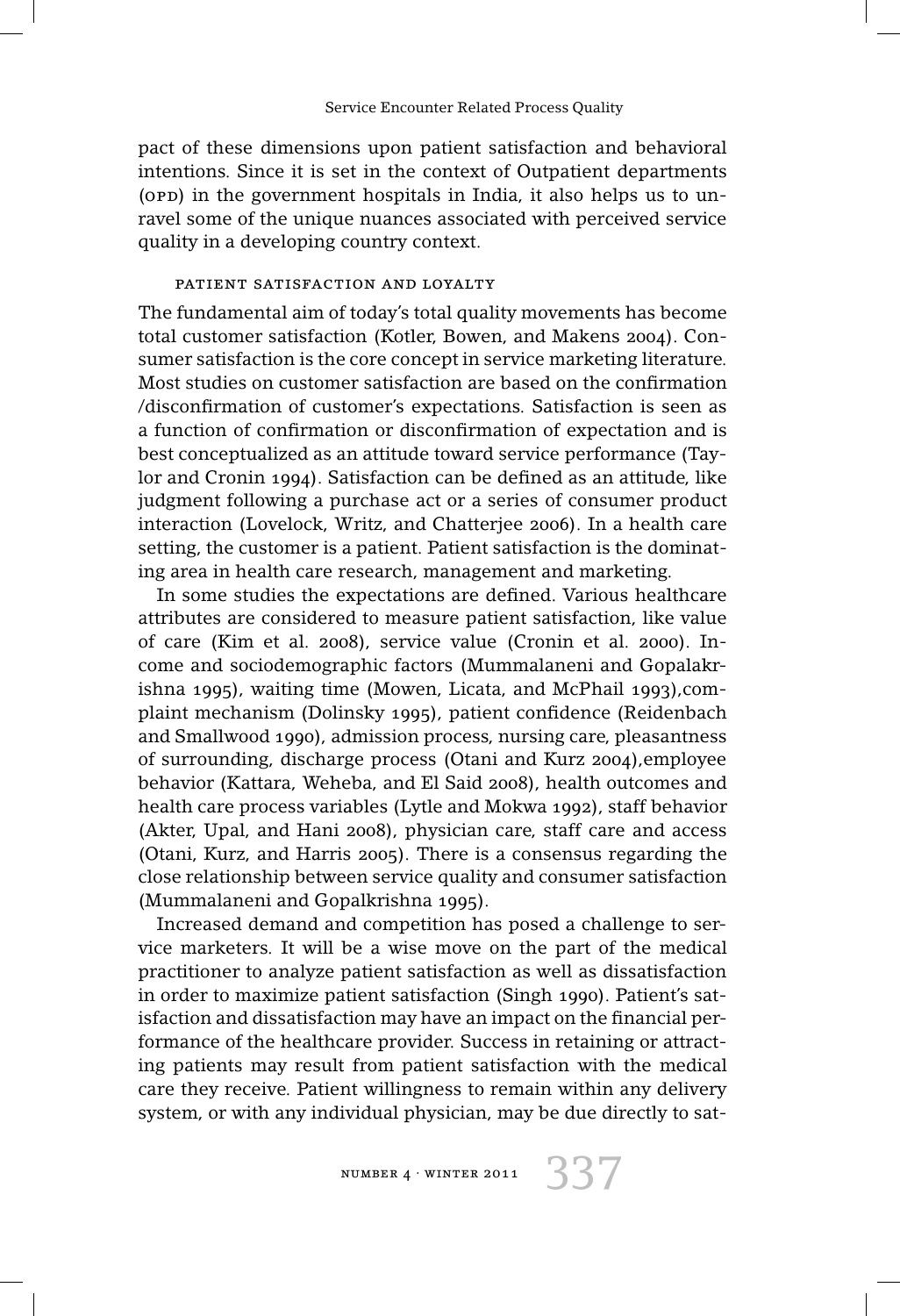pact of these dimensions upon patient satisfaction and behavioral intentions. Since it is set in the context of Outpatient departments (opp) in the government hospitals in India, it also helps us to unravel some of the unique nuances associated with perceived service quality in a developing country context.

### patient satisfaction and loyalty

The fundamental aim of today's total quality movements has become total customer satisfaction (Kotler, Bowen, and Makens 2004). Consumer satisfaction is the core concept in service marketing literature. Most studies on customer satisfaction are based on the confirmation /disconfirmation of customer's expectations. Satisfaction is seen as a function of confirmation or disconfirmation of expectation and is best conceptualized as an attitude toward service performance (Taylor and Cronin 1994). Satisfaction can be defined as an attitude, like judgment following a purchase act or a series of consumer product interaction (Lovelock, Writz, and Chatterjee 2006). In a health care setting, the customer is a patient. Patient satisfaction is the dominating area in health care research, management and marketing.

In some studies the expectations are defined. Various healthcare attributes are considered to measure patient satisfaction, like value of care (Kim et al. 2008), service value (Cronin et al. 2000). Income and sociodemographic factors (Mummalaneni and Gopalakrishna 1995), waiting time (Mowen, Licata, and McPhail 1993),complaint mechanism (Dolinsky 1995), patient confidence (Reidenbach and Smallwood 1990), admission process, nursing care, pleasantness of surrounding, discharge process (Otani and Kurz 2004),employee behavior (Kattara, Weheba, and El Said 2008), health outcomes and health care process variables (Lytle and Mokwa 1992), staff behavior (Akter, Upal, and Hani 2008), physician care, staff care and access (Otani, Kurz, and Harris 2005). There is a consensus regarding the close relationship between service quality and consumer satisfaction (Mummalaneni and Gopalkrishna 1995).

Increased demand and competition has posed a challenge to service marketers. It will be a wise move on the part of the medical practitioner to analyze patient satisfaction as well as dissatisfaction in order to maximize patient satisfaction (Singh 1990). Patient's satisfaction and dissatisfaction may have an impact on the financial performance of the healthcare provider. Success in retaining or attracting patients may result from patient satisfaction with the medical care they receive. Patient willingness to remain within any delivery system, or with any individual physician, may be due directly to sat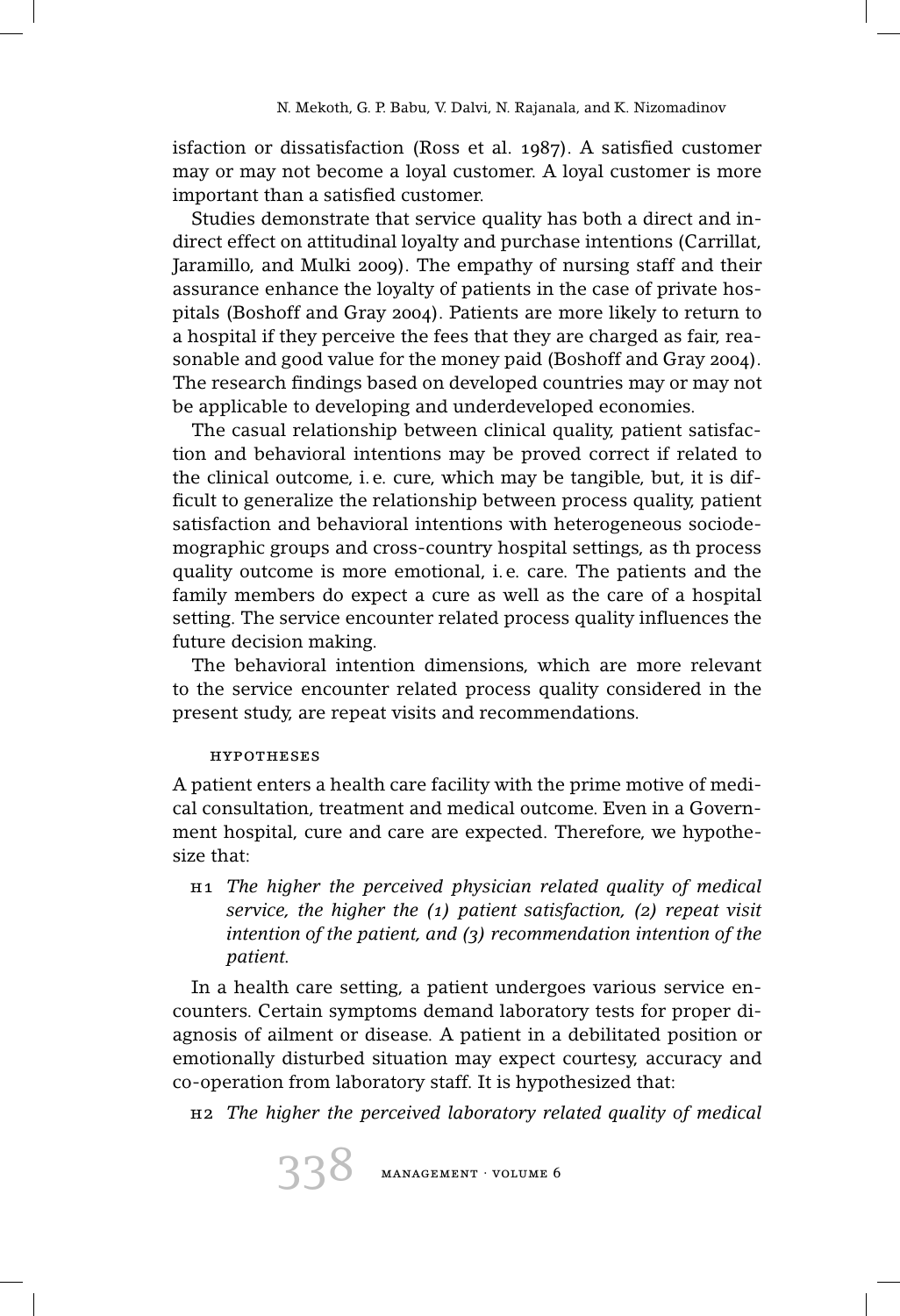isfaction or dissatisfaction (Ross et al. 1987). A satisfied customer may or may not become a loyal customer. A loyal customer is more important than a satisfied customer.

Studies demonstrate that service quality has both a direct and indirect effect on attitudinal loyalty and purchase intentions (Carrillat, Jaramillo, and Mulki 2009). The empathy of nursing staff and their assurance enhance the loyalty of patients in the case of private hospitals (Boshoff and Gray 2004). Patients are more likely to return to a hospital if they perceive the fees that they are charged as fair, reasonable and good value for the money paid (Boshoff and Gray 2004). The research findings based on developed countries may or may not be applicable to developing and underdeveloped economies.

The casual relationship between clinical quality, patient satisfaction and behavioral intentions may be proved correct if related to the clinical outcome, i. e. cure, which may be tangible, but, it is difficult to generalize the relationship between process quality, patient satisfaction and behavioral intentions with heterogeneous sociodemographic groups and cross-country hospital settings, as th process quality outcome is more emotional, i. e. care. The patients and the family members do expect a cure as well as the care of a hospital setting. The service encounter related process quality influences the future decision making.

The behavioral intention dimensions, which are more relevant to the service encounter related process quality considered in the present study, are repeat visits and recommendations.

## hypotheses

A patient enters a health care facility with the prime motive of medical consultation, treatment and medical outcome. Even in a Government hospital, cure and care are expected. Therefore, we hypothesize that:

h1 *The higher the perceived physician related quality of medical service, the higher the (1) patient satisfaction, (2) repeat visit intention of the patient, and (3) recommendation intention of the patient.*

In a health care setting, a patient undergoes various service encounters. Certain symptoms demand laboratory tests for proper diagnosis of ailment or disease. A patient in a debilitated position or emotionally disturbed situation may expect courtesy, accuracy and co-operation from laboratory staff. It is hypothesized that:

h2 *The higher the perceived laboratory related quality of medical*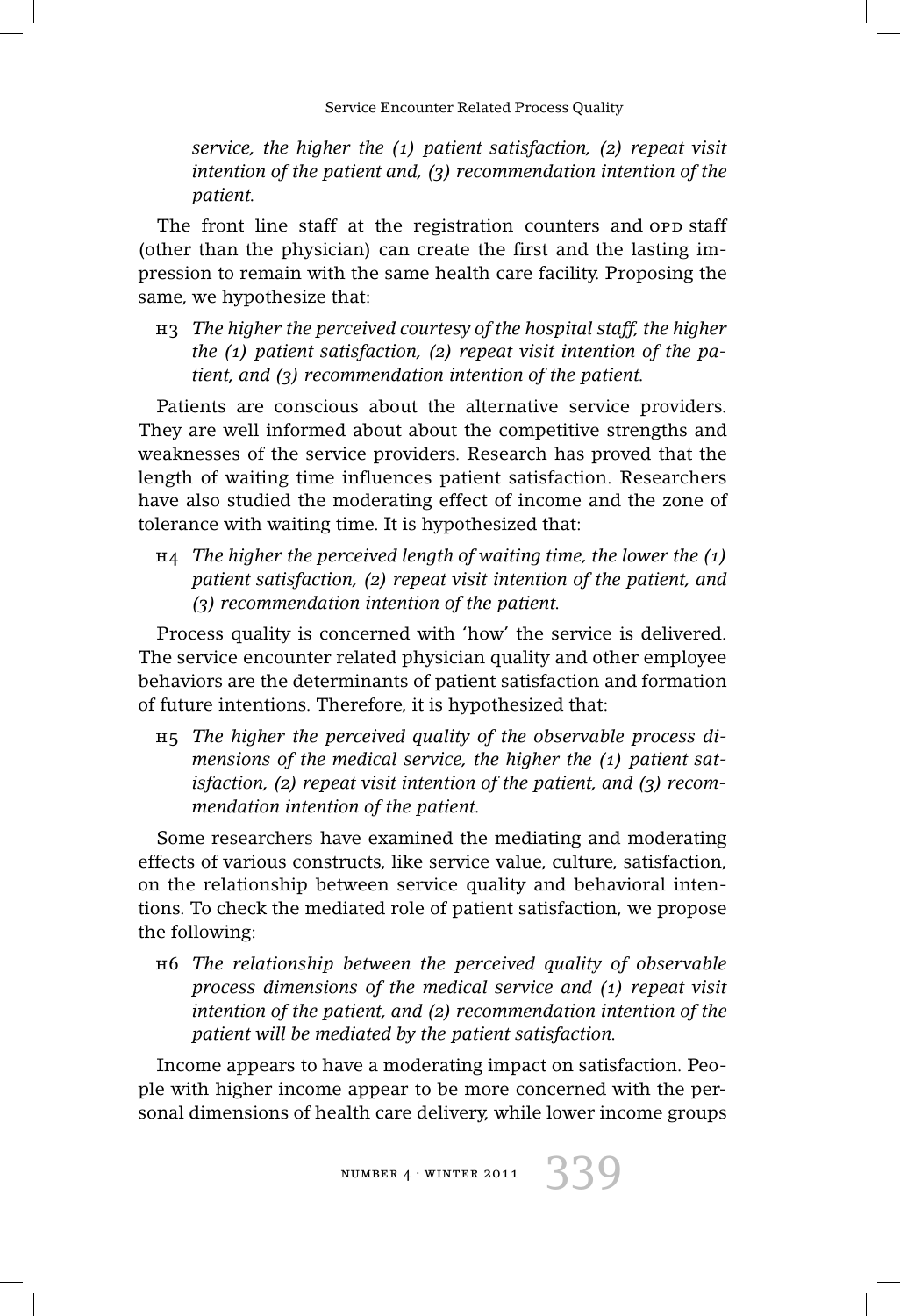*service, the higher the (1) patient satisfaction, (2) repeat visit intention of the patient and, (3) recommendation intention of the patient.*

The front line staff at the registration counters and opp staff (other than the physician) can create the first and the lasting impression to remain with the same health care facility. Proposing the same, we hypothesize that:

h3 *The higher the perceived courtesy of the hospital staff, the higher the (1) patient satisfaction, (2) repeat visit intention of the patient, and (3) recommendation intention of the patient.*

Patients are conscious about the alternative service providers. They are well informed about about the competitive strengths and weaknesses of the service providers. Research has proved that the length of waiting time influences patient satisfaction. Researchers have also studied the moderating effect of income and the zone of tolerance with waiting time. It is hypothesized that:

h4 *The higher the perceived length of waiting time, the lower the (1) patient satisfaction, (2) repeat visit intention of the patient, and (3) recommendation intention of the patient.*

Process quality is concerned with 'how' the service is delivered. The service encounter related physician quality and other employee behaviors are the determinants of patient satisfaction and formation of future intentions. Therefore, it is hypothesized that:

h5 *The higher the perceived quality of the observable process dimensions of the medical service, the higher the (1) patient satisfaction, (2) repeat visit intention of the patient, and (3) recommendation intention of the patient.*

Some researchers have examined the mediating and moderating effects of various constructs, like service value, culture, satisfaction, on the relationship between service quality and behavioral intentions. To check the mediated role of patient satisfaction, we propose the following:

h6 *The relationship between the perceived quality of observable process dimensions of the medical service and (1) repeat visit intention of the patient, and (2) recommendation intention of the patient will be mediated by the patient satisfaction.*

Income appears to have a moderating impact on satisfaction. People with higher income appear to be more concerned with the personal dimensions of health care delivery, while lower income groups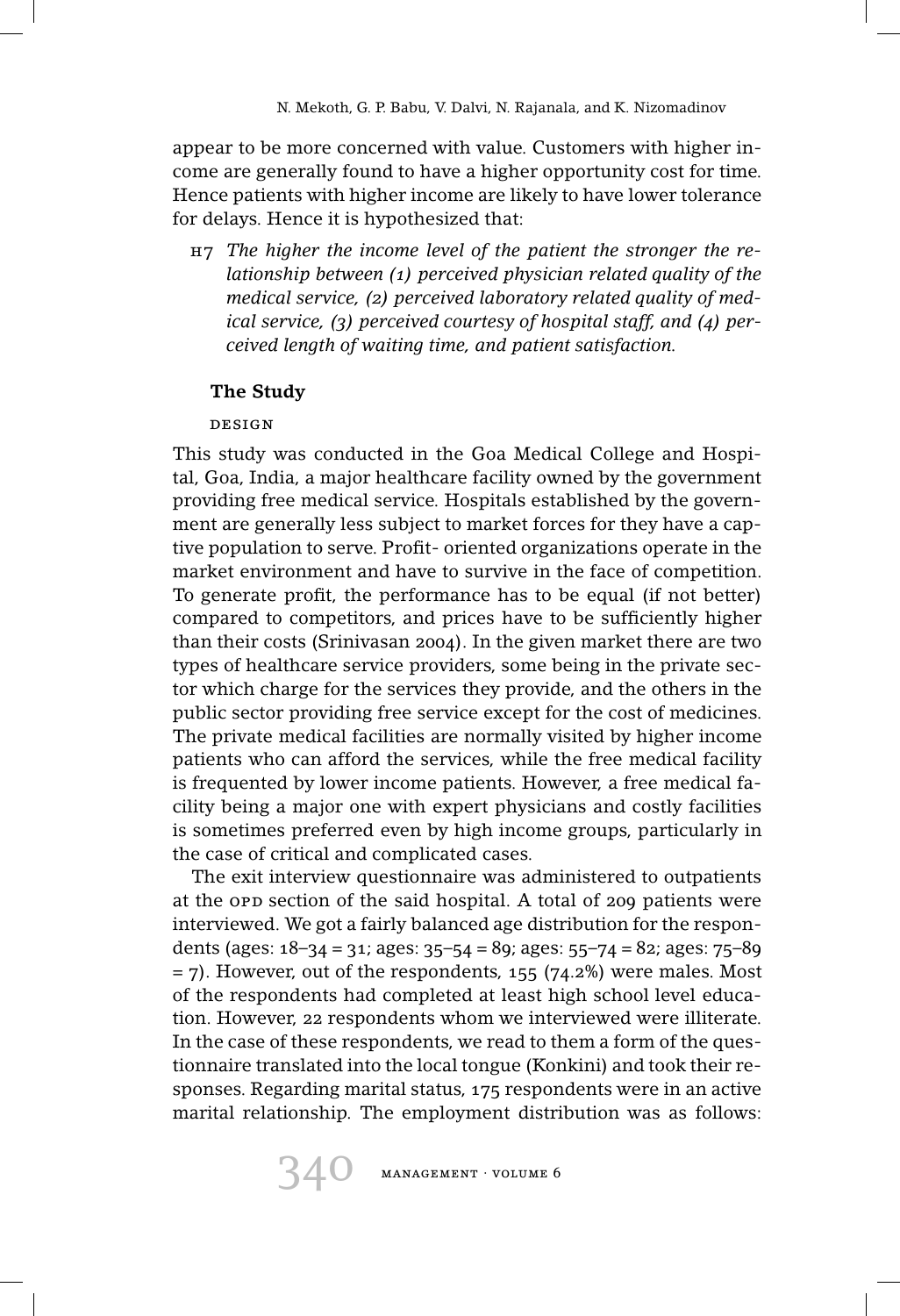appear to be more concerned with value. Customers with higher income are generally found to have a higher opportunity cost for time. Hence patients with higher income are likely to have lower tolerance for delays. Hence it is hypothesized that:

h7 *The higher the income level of the patient the stronger the relationship between (1) perceived physician related quality of the medical service, (2) perceived laboratory related quality of medical service, (3) perceived courtesy of hospital staff, and (4) perceived length of waiting time, and patient satisfaction.*

## **The Study**

## design

This study was conducted in the Goa Medical College and Hospital, Goa, India, a major healthcare facility owned by the government providing free medical service. Hospitals established by the government are generally less subject to market forces for they have a captive population to serve. Profit- oriented organizations operate in the market environment and have to survive in the face of competition. To generate profit, the performance has to be equal (if not better) compared to competitors, and prices have to be sufficiently higher than their costs (Srinivasan 2004). In the given market there are two types of healthcare service providers, some being in the private sector which charge for the services they provide, and the others in the public sector providing free service except for the cost of medicines. The private medical facilities are normally visited by higher income patients who can afford the services, while the free medical facility is frequented by lower income patients. However, a free medical facility being a major one with expert physicians and costly facilities is sometimes preferred even by high income groups, particularly in the case of critical and complicated cases.

The exit interview questionnaire was administered to outpatients at the opp section of the said hospital. A total of 209 patients were interviewed. We got a fairly balanced age distribution for the respondents (ages: 18–34 = 31; ages: 35–54 = 89; ages: 55–74 = 82; ages: 75–89  $=$  7). However, out of the respondents, 155 (74.2%) were males. Most of the respondents had completed at least high school level education. However, 22 respondents whom we interviewed were illiterate. In the case of these respondents, we read to them a form of the questionnaire translated into the local tongue (Konkini) and took their responses. Regarding marital status, 175 respondents were in an active marital relationship. The employment distribution was as follows:

340 management · volume 6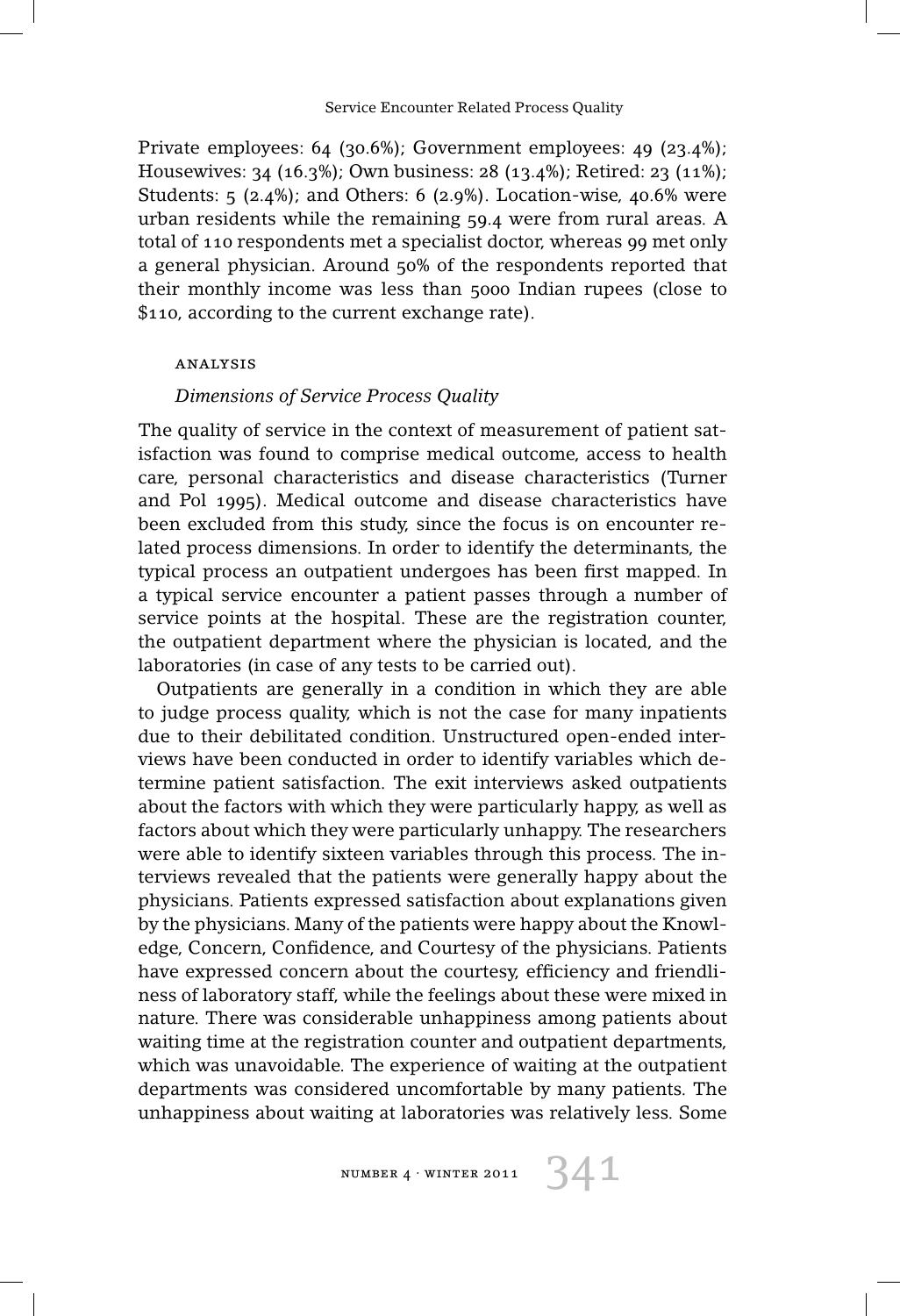Private employees: 64 (30.6%); Government employees: 49 (23.4%); Housewives: 34 (16.3%); Own business: 28 (13.4%); Retired: 23 (11%); Students: 5 (2.4%); and Others: 6 (2.9%). Location-wise, 40.6% were urban residents while the remaining 59.4 were from rural areas. A total of 110 respondents met a specialist doctor, whereas 99 met only a general physician. Around 50% of the respondents reported that their monthly income was less than 5000 Indian rupees (close to \$110, according to the current exchange rate).

### analysis

#### *Dimensions of Service Process Quality*

The quality of service in the context of measurement of patient satisfaction was found to comprise medical outcome, access to health care, personal characteristics and disease characteristics (Turner and Pol 1995). Medical outcome and disease characteristics have been excluded from this study, since the focus is on encounter related process dimensions. In order to identify the determinants, the typical process an outpatient undergoes has been first mapped. In a typical service encounter a patient passes through a number of service points at the hospital. These are the registration counter, the outpatient department where the physician is located, and the laboratories (in case of any tests to be carried out).

Outpatients are generally in a condition in which they are able to judge process quality, which is not the case for many inpatients due to their debilitated condition. Unstructured open-ended interviews have been conducted in order to identify variables which determine patient satisfaction. The exit interviews asked outpatients about the factors with which they were particularly happy, as well as factors about which they were particularly unhappy. The researchers were able to identify sixteen variables through this process. The interviews revealed that the patients were generally happy about the physicians. Patients expressed satisfaction about explanations given by the physicians. Many of the patients were happy about the Knowledge, Concern, Confidence, and Courtesy of the physicians. Patients have expressed concern about the courtesy, efficiency and friendliness of laboratory staff, while the feelings about these were mixed in nature. There was considerable unhappiness among patients about waiting time at the registration counter and outpatient departments, which was unavoidable. The experience of waiting at the outpatient departments was considered uncomfortable by many patients. The unhappiness about waiting at laboratories was relatively less. Some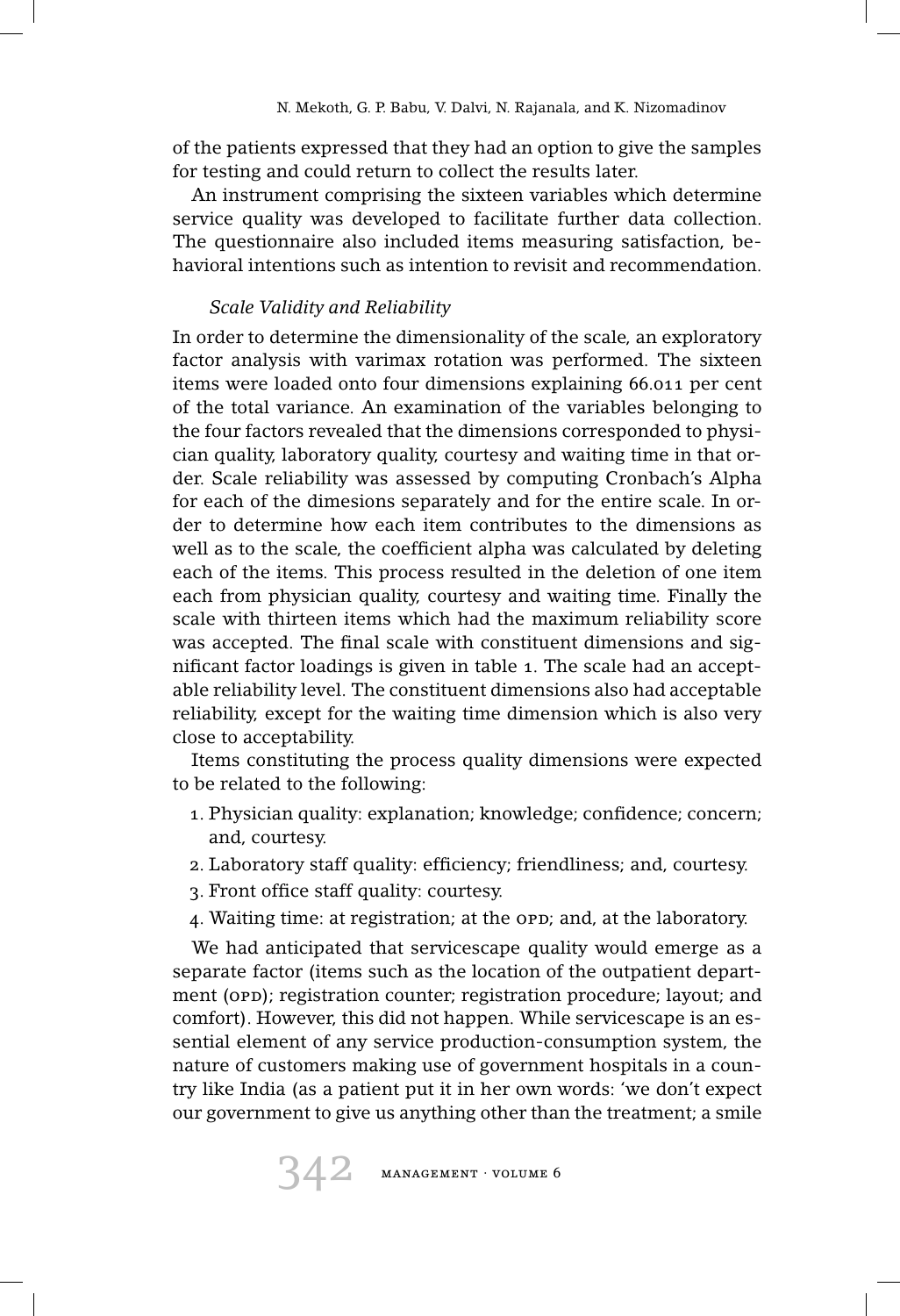of the patients expressed that they had an option to give the samples for testing and could return to collect the results later.

An instrument comprising the sixteen variables which determine service quality was developed to facilitate further data collection. The questionnaire also included items measuring satisfaction, behavioral intentions such as intention to revisit and recommendation.

# *Scale Validity and Reliability*

In order to determine the dimensionality of the scale, an exploratory factor analysis with varimax rotation was performed. The sixteen items were loaded onto four dimensions explaining 66.011 per cent of the total variance. An examination of the variables belonging to the four factors revealed that the dimensions corresponded to physician quality, laboratory quality, courtesy and waiting time in that order. Scale reliability was assessed by computing Cronbach's Alpha for each of the dimesions separately and for the entire scale. In order to determine how each item contributes to the dimensions as well as to the scale, the coefficient alpha was calculated by deleting each of the items. This process resulted in the deletion of one item each from physician quality, courtesy and waiting time. Finally the scale with thirteen items which had the maximum reliability score was accepted. The final scale with constituent dimensions and significant factor loadings is given in table 1. The scale had an acceptable reliability level. The constituent dimensions also had acceptable reliability, except for the waiting time dimension which is also very close to acceptability.

Items constituting the process quality dimensions were expected to be related to the following:

- 1. Physician quality: explanation; knowledge; confidence; concern; and, courtesy.
- 2. Laboratory staff quality: efficiency; friendliness; and, courtesy.
- 3. Front office staff quality: courtesy.
- 4. Waiting time: at registration; at the orp; and, at the laboratory.

We had anticipated that servicescape quality would emerge as a separate factor (items such as the location of the outpatient department (opp); registration counter; registration procedure; layout; and comfort). However, this did not happen. While servicescape is an essential element of any service production-consumption system, the nature of customers making use of government hospitals in a country like India (as a patient put it in her own words: 'we don't expect our government to give us anything other than the treatment; a smile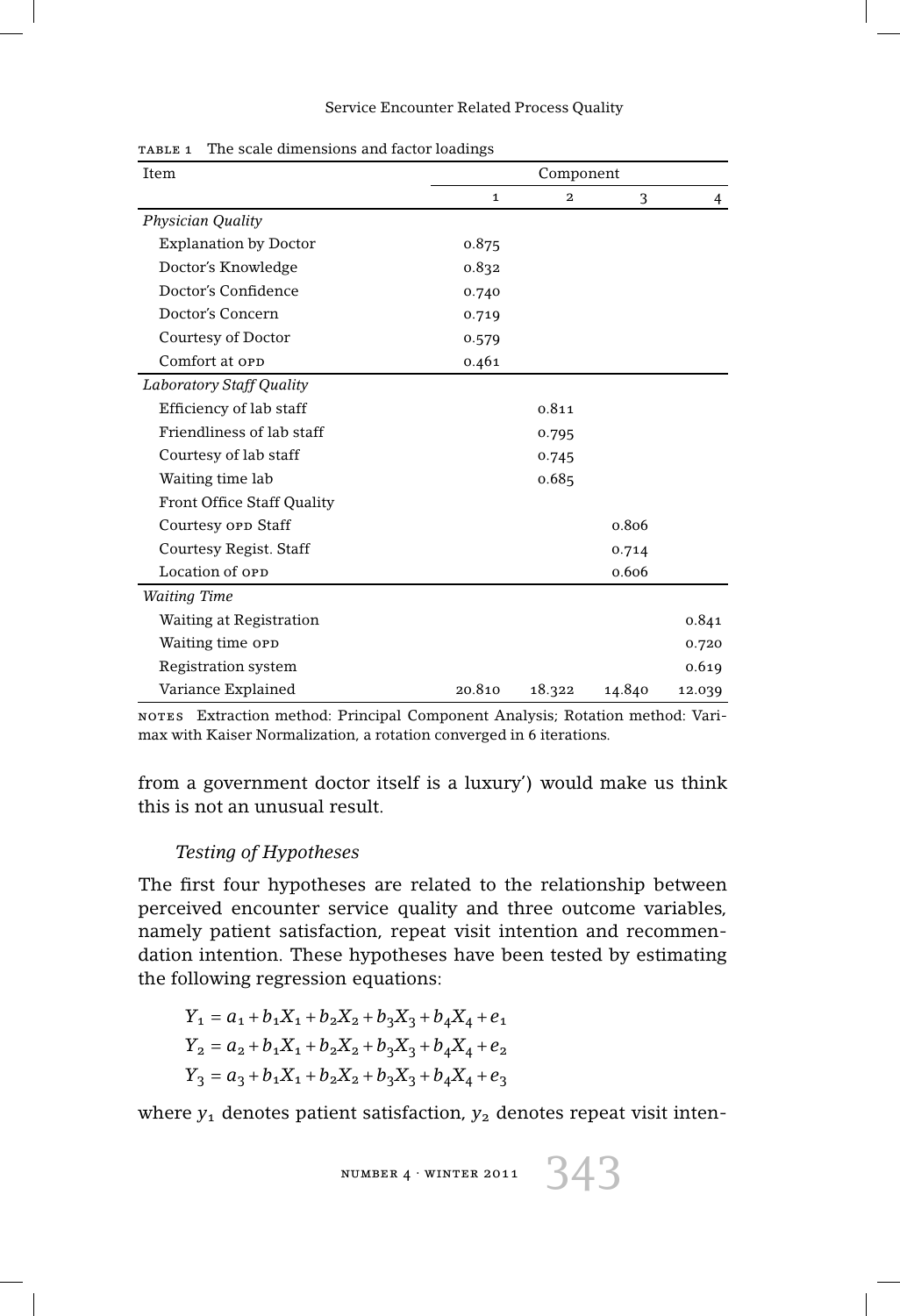| Item                              | Component    |              |        |        |
|-----------------------------------|--------------|--------------|--------|--------|
|                                   | $\mathbf{1}$ | $\mathbf{2}$ | 3      | 4      |
| <b>Physician Quality</b>          |              |              |        |        |
| <b>Explanation by Doctor</b>      | 0.875        |              |        |        |
| Doctor's Knowledge                | 0.832        |              |        |        |
| Doctor's Confidence               | 0.740        |              |        |        |
| Doctor's Concern                  | 0.719        |              |        |        |
| Courtesy of Doctor                | 0.579        |              |        |        |
| Comfort at opp                    | 0.461        |              |        |        |
| <b>Laboratory Staff Quality</b>   |              |              |        |        |
| Efficiency of lab staff           |              | 0.811        |        |        |
| Friendliness of lab staff         |              | 0.795        |        |        |
| Courtesy of lab staff             |              | 0.745        |        |        |
| Waiting time lab                  |              | 0.685        |        |        |
| <b>Front Office Staff Quality</b> |              |              |        |        |
| Courtesy opp Staff                |              |              | 0.806  |        |
| Courtesy Regist. Staff            |              |              | 0.714  |        |
| Location of OPD                   |              |              | 0.606  |        |
| <b>Waiting Time</b>               |              |              |        |        |
| Waiting at Registration           |              |              |        | 0.841  |
| Waiting time opp                  |              |              |        | 0.720  |
| <b>Registration system</b>        |              |              |        | 0.619  |
| Variance Explained                | 20.810       | 18.322       | 14.840 | 12.039 |

table 1 The scale dimensions and factor loadings

notes Extraction method: Principal Component Analysis; Rotation method: Varimax with Kaiser Normalization, a rotation converged in 6 iterations.

from a government doctor itself is a luxury') would make us think this is not an unusual result.

## *Testing of Hypotheses*

The first four hypotheses are related to the relationship between perceived encounter service quality and three outcome variables, namely patient satisfaction, repeat visit intention and recommendation intention. These hypotheses have been tested by estimating the following regression equations:

$$
Y_1 = a_1 + b_1 X_1 + b_2 X_2 + b_3 X_3 + b_4 X_4 + e_1
$$
  
\n
$$
Y_2 = a_2 + b_1 X_1 + b_2 X_2 + b_3 X_3 + b_4 X_4 + e_2
$$
  
\n
$$
Y_3 = a_3 + b_1 X_1 + b_2 X_2 + b_3 X_3 + b_4 X_4 + e_3
$$

where  $y_1$  denotes patient satisfaction,  $y_2$  denotes repeat visit inten-

$$
\texttt{NUMBER 4} \cdot \texttt{WINTER 2011}
$$

343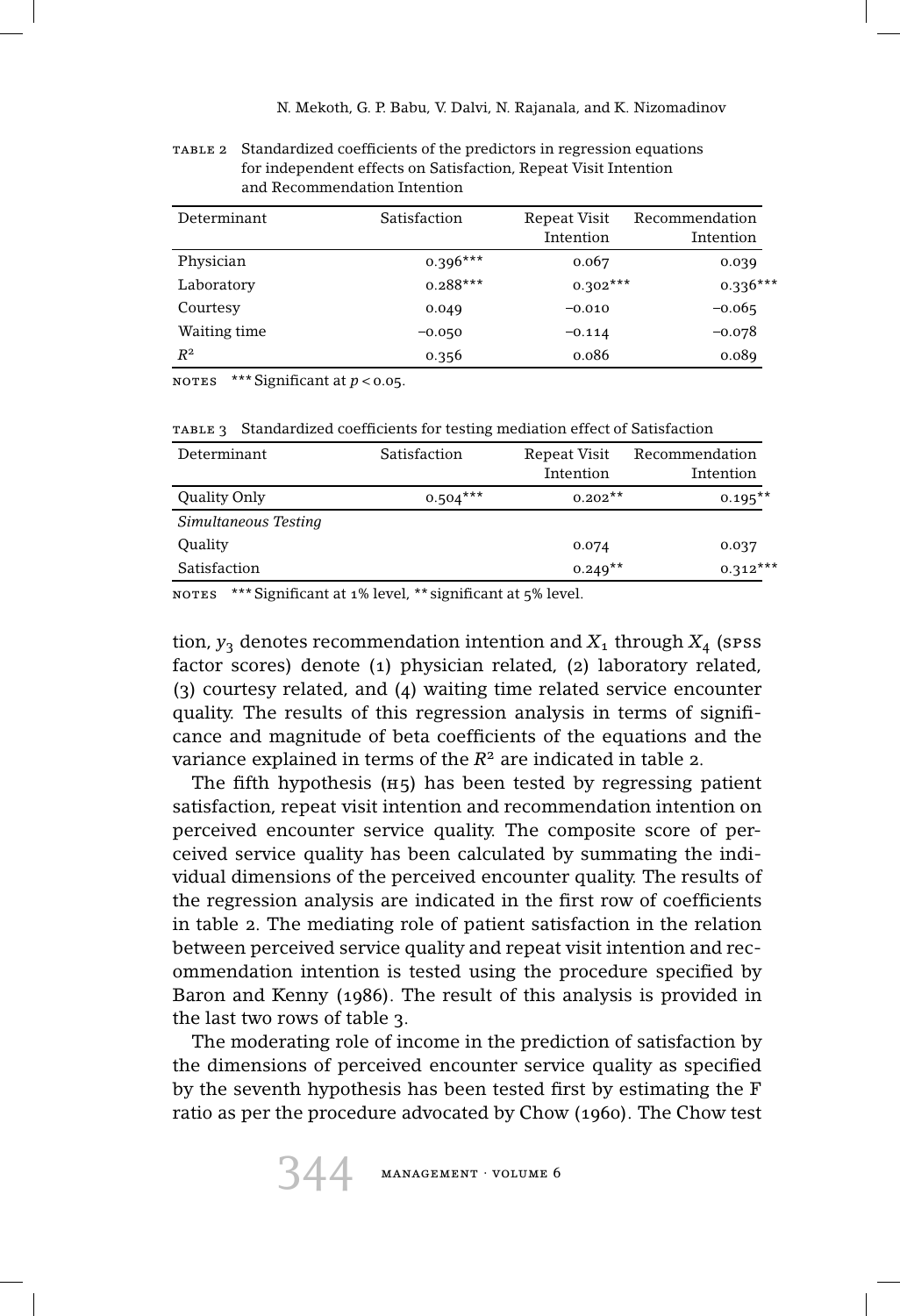table 2 Standardized coefficients of the predictors in regression equations for independent effects on Satisfaction, Repeat Visit Intention and Recommendation Intention

| Determinant  | Satisfaction | Repeat Visit<br>Intention | Recommendation<br>Intention |
|--------------|--------------|---------------------------|-----------------------------|
|              |              |                           |                             |
| Physician    | $0.396***$   | 0.067                     | 0.039                       |
| Laboratory   | $0.288***$   | $0.302***$                | $0.336***$                  |
| Courtesy     | 0.049        | $-0.010$                  | $-0.065$                    |
| Waiting time | $-0.050$     | $-0.114$                  | $-0.078$                    |
| $R^2$        | 0.356        | 0.086                     | 0.089                       |

notes \*\*\* Significant at *<sup>p</sup> <sup>&</sup>lt;* 0.05.

TABLE 3 Standardized coefficients for testing mediation effect of Satisfaction

| Determinant          | Satisfaction | Repeat Visit<br>Intention | Recommendation<br>Intention |
|----------------------|--------------|---------------------------|-----------------------------|
| Quality Only         | $0.504***$   | $0.202**$                 | $0.195***$                  |
| Simultaneous Testing |              |                           |                             |
| Quality              |              | 0.074                     | 0.037                       |
| Satisfaction         |              | $0.249**$                 | $0.312***$                  |

NOTES \*\*\* Significant at 1% level, \*\* significant at 5% level.

tion,  $y_3$  denotes recommendation intention and  $X_1$  through  $X_4$  (spss factor scores) denote (1) physician related, (2) laboratory related, (3) courtesy related, and (4) waiting time related service encounter quality. The results of this regression analysis in terms of significance and magnitude of beta coefficients of the equations and the variance explained in terms of the *R*<sup>2</sup> are indicated in table 2.

The fifth hypothesis  $(H<sub>5</sub>)$  has been tested by regressing patient satisfaction, repeat visit intention and recommendation intention on perceived encounter service quality. The composite score of perceived service quality has been calculated by summating the individual dimensions of the perceived encounter quality. The results of the regression analysis are indicated in the first row of coefficients in table 2. The mediating role of patient satisfaction in the relation between perceived service quality and repeat visit intention and recommendation intention is tested using the procedure specified by Baron and Kenny (1986). The result of this analysis is provided in the last two rows of table 3.

The moderating role of income in the prediction of satisfaction by the dimensions of perceived encounter service quality as specified by the seventh hypothesis has been tested first by estimating the F ratio as per the procedure advocated by Chow (1960). The Chow test

344 management · volume 6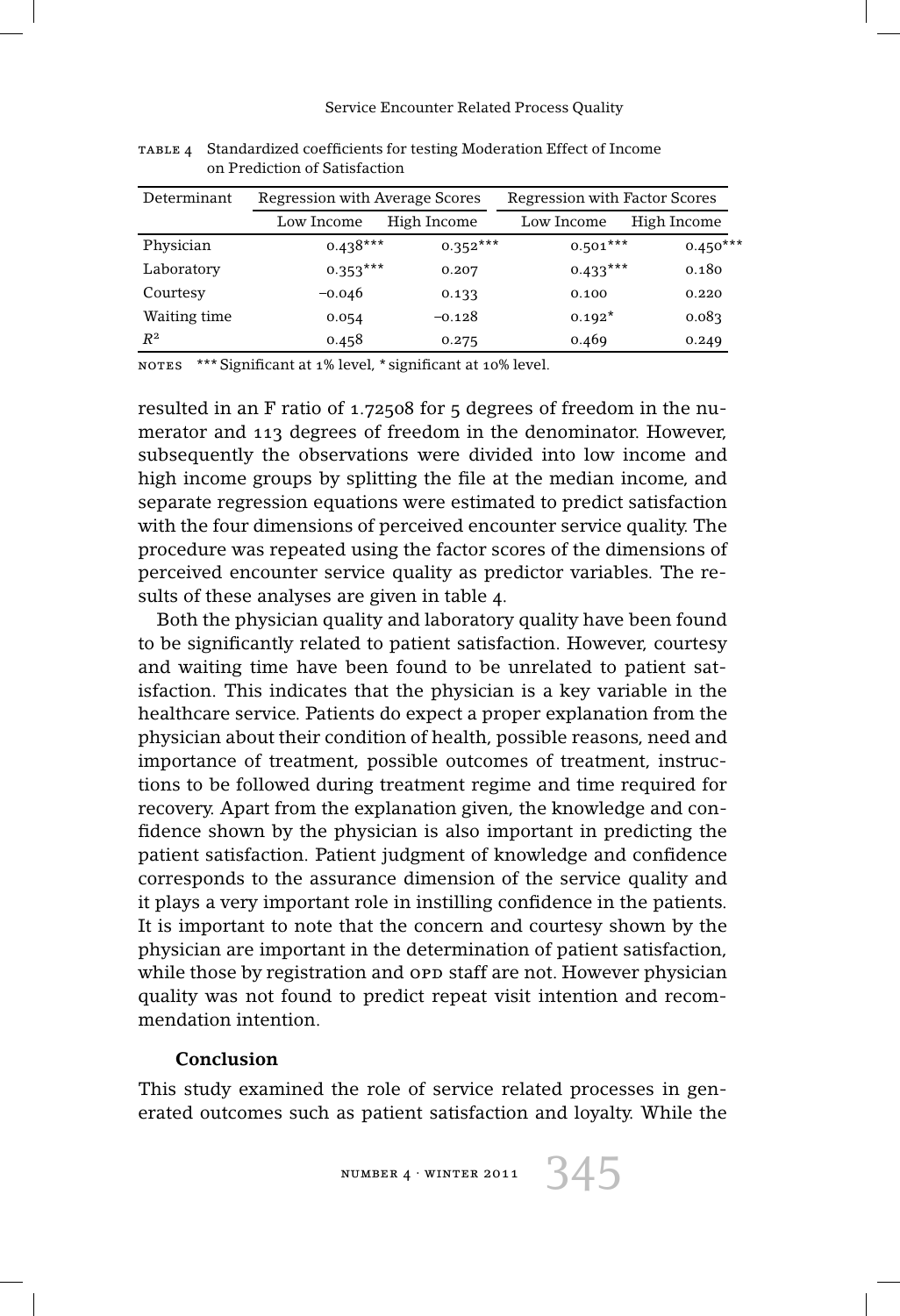| Determinant  | Regression with Average Scores |             | <b>Regression with Factor Scores</b> |             |  |
|--------------|--------------------------------|-------------|--------------------------------------|-------------|--|
|              | Low Income                     | High Income | Low Income                           | High Income |  |
| Physician    | $0.438***$                     | $0.352***$  | $0.501***$                           | $0.450***$  |  |
| Laboratory   | $0.353***$                     | 0.207       | $0.433***$                           | 0.180       |  |
| Courtesy     | $-0.046$                       | 0.133       | 0.100                                | 0.220       |  |
| Waiting time | 0.054                          | $-0.128$    | $0.192*$                             | 0.083       |  |
| $R^2$        | 0.458                          | 0.275       | 0.469                                | 0.249       |  |

table 4 Standardized coefficients for testing Moderation Effect of Income on Prediction of Satisfaction

notes \*\*\* Significant at 1% level, \* significant at 10% level.

resulted in an F ratio of 1.72508 for 5 degrees of freedom in the numerator and 113 degrees of freedom in the denominator. However, subsequently the observations were divided into low income and high income groups by splitting the file at the median income, and separate regression equations were estimated to predict satisfaction with the four dimensions of perceived encounter service quality. The procedure was repeated using the factor scores of the dimensions of perceived encounter service quality as predictor variables. The results of these analyses are given in table 4.

Both the physician quality and laboratory quality have been found to be significantly related to patient satisfaction. However, courtesy and waiting time have been found to be unrelated to patient satisfaction. This indicates that the physician is a key variable in the healthcare service. Patients do expect a proper explanation from the physician about their condition of health, possible reasons, need and importance of treatment, possible outcomes of treatment, instructions to be followed during treatment regime and time required for recovery. Apart from the explanation given, the knowledge and confidence shown by the physician is also important in predicting the patient satisfaction. Patient judgment of knowledge and confidence corresponds to the assurance dimension of the service quality and it plays a very important role in instilling confidence in the patients. It is important to note that the concern and courtesy shown by the physician are important in the determination of patient satisfaction, while those by registration and opp staff are not. However physician quality was not found to predict repeat visit intention and recommendation intention.

#### **Conclusion**

This study examined the role of service related processes in generated outcomes such as patient satisfaction and loyalty. While the

NUMBER 4 · WINTER 2011  $345$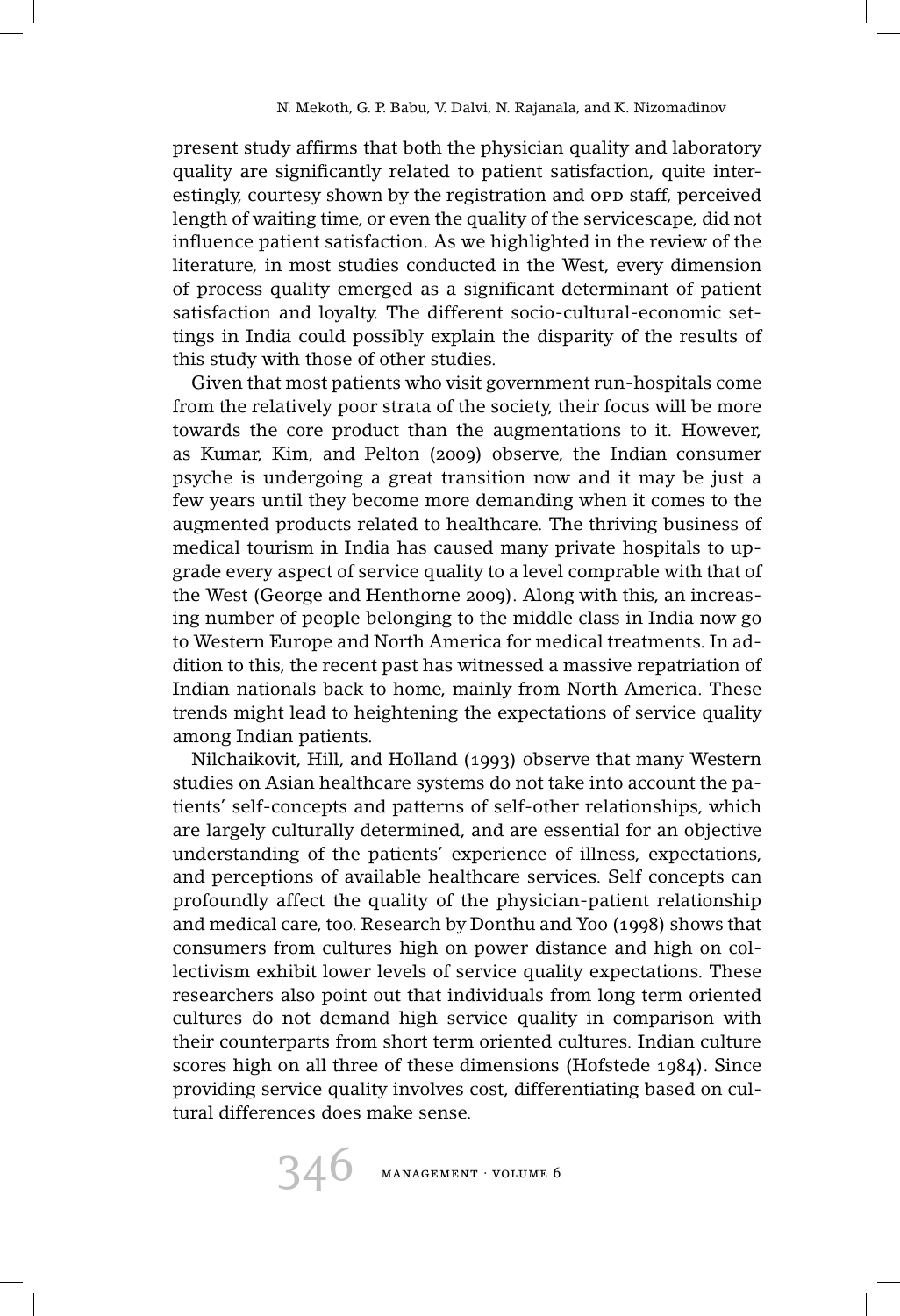present study affirms that both the physician quality and laboratory quality are significantly related to patient satisfaction, quite interestingly, courtesy shown by the registration and opp staff, perceived length of waiting time, or even the quality of the servicescape, did not influence patient satisfaction. As we highlighted in the review of the literature, in most studies conducted in the West, every dimension of process quality emerged as a significant determinant of patient satisfaction and loyalty. The different socio-cultural-economic settings in India could possibly explain the disparity of the results of this study with those of other studies.

Given that most patients who visit government run-hospitals come from the relatively poor strata of the society, their focus will be more towards the core product than the augmentations to it. However, as Kumar, Kim, and Pelton (2009) observe, the Indian consumer psyche is undergoing a great transition now and it may be just a few years until they become more demanding when it comes to the augmented products related to healthcare. The thriving business of medical tourism in India has caused many private hospitals to upgrade every aspect of service quality to a level comprable with that of the West (George and Henthorne 2009). Along with this, an increasing number of people belonging to the middle class in India now go to Western Europe and North America for medical treatments. In addition to this, the recent past has witnessed a massive repatriation of Indian nationals back to home, mainly from North America. These trends might lead to heightening the expectations of service quality among Indian patients.

Nilchaikovit, Hill, and Holland (1993) observe that many Western studies on Asian healthcare systems do not take into account the patients' self-concepts and patterns of self-other relationships, which are largely culturally determined, and are essential for an objective understanding of the patients' experience of illness, expectations, and perceptions of available healthcare services. Self concepts can profoundly affect the quality of the physician-patient relationship and medical care, too. Research by Donthu and Yoo (1998) shows that consumers from cultures high on power distance and high on collectivism exhibit lower levels of service quality expectations. These researchers also point out that individuals from long term oriented cultures do not demand high service quality in comparison with their counterparts from short term oriented cultures. Indian culture scores high on all three of these dimensions (Hofstede 1984). Since providing service quality involves cost, differentiating based on cultural differences does make sense.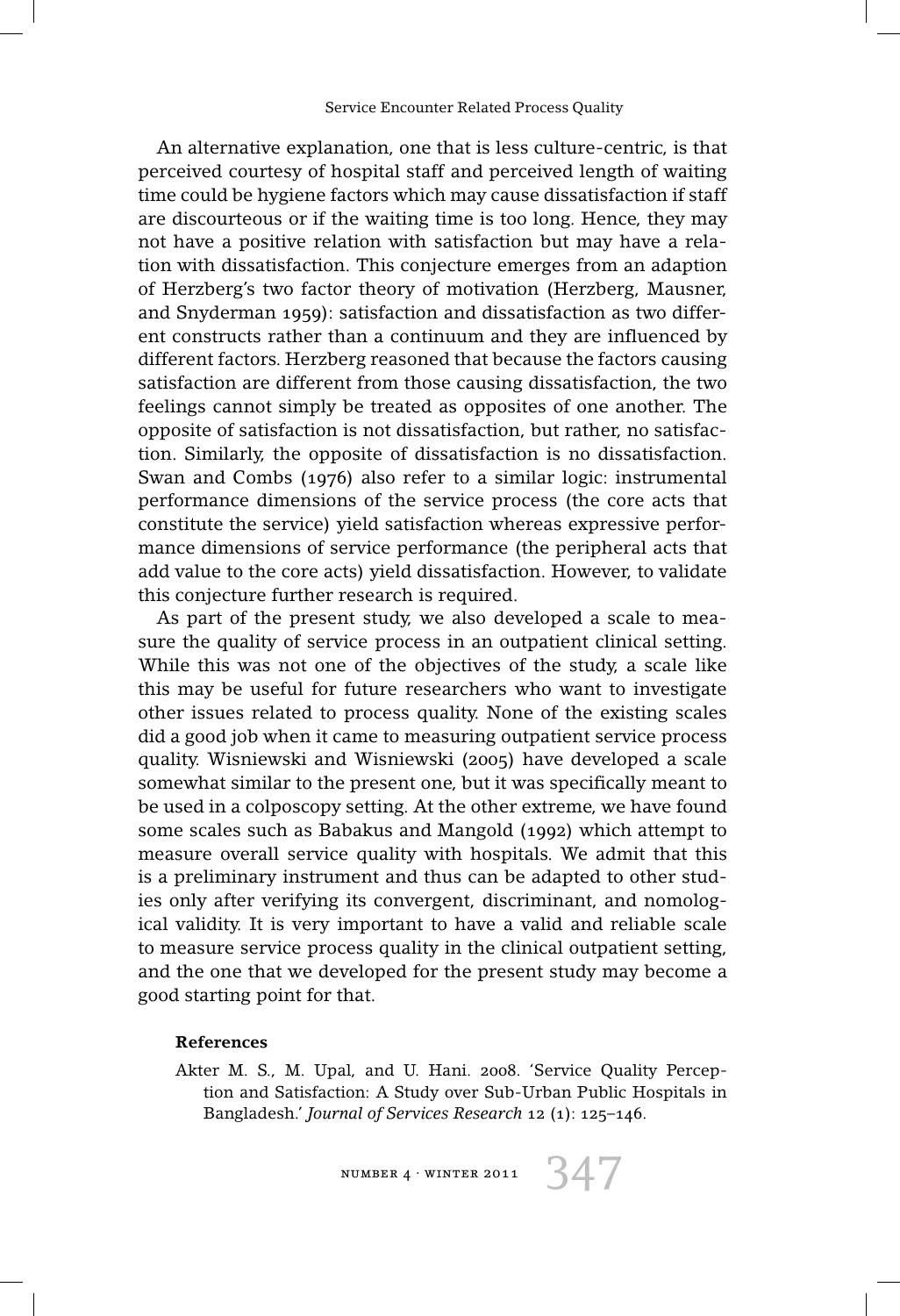An alternative explanation, one that is less culture-centric, is that perceived courtesy of hospital staff and perceived length of waiting time could be hygiene factors which may cause dissatisfaction if staff are discourteous or if the waiting time is too long. Hence, they may not have a positive relation with satisfaction but may have a relation with dissatisfaction. This conjecture emerges from an adaption of Herzberg's two factor theory of motivation (Herzberg, Mausner, and Snyderman 1959): satisfaction and dissatisfaction as two different constructs rather than a continuum and they are influenced by different factors. Herzberg reasoned that because the factors causing satisfaction are different from those causing dissatisfaction, the two feelings cannot simply be treated as opposites of one another. The opposite of satisfaction is not dissatisfaction, but rather, no satisfaction. Similarly, the opposite of dissatisfaction is no dissatisfaction. Swan and Combs (1976) also refer to a similar logic: instrumental performance dimensions of the service process (the core acts that constitute the service) yield satisfaction whereas expressive performance dimensions of service performance (the peripheral acts that add value to the core acts) yield dissatisfaction. However, to validate this conjecture further research is required.

As part of the present study, we also developed a scale to measure the quality of service process in an outpatient clinical setting. While this was not one of the objectives of the study, a scale like this may be useful for future researchers who want to investigate other issues related to process quality. None of the existing scales did a good job when it came to measuring outpatient service process quality. Wisniewski and Wisniewski (2005) have developed a scale somewhat similar to the present one, but it was specifically meant to be used in a colposcopy setting. At the other extreme, we have found some scales such as Babakus and Mangold (1992) which attempt to measure overall service quality with hospitals. We admit that this is a preliminary instrument and thus can be adapted to other studies only after verifying its convergent, discriminant, and nomological validity. It is very important to have a valid and reliable scale to measure service process quality in the clinical outpatient setting, and the one that we developed for the present study may become a good starting point for that.

#### **References**

Akter M. S., M. Upal, and U. Hani. 2008. 'Service Quality Perception and Satisfaction: A Study over Sub-Urban Public Hospitals in Bangladesh.' *Journal of Services Research* 12 (1): 125–146.

NUMBER 4 · WINTER 2011  $347$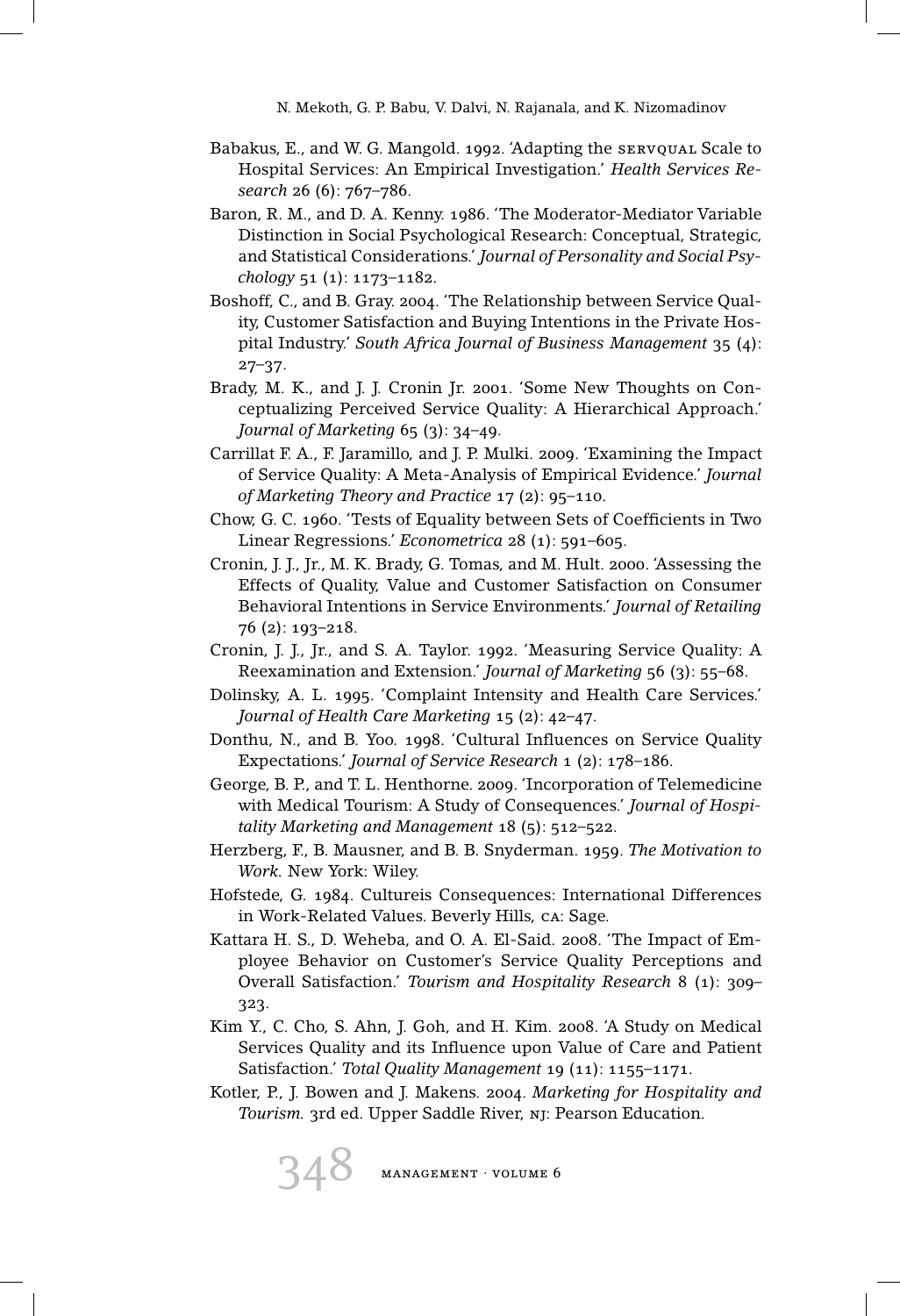- Babakus, E., and W. G. Mangold. 1992. 'Adapting the servqual Scale to Hospital Services: An Empirical Investigation.' *Health Services Research* 26 (6): 767–786.
- Baron, R. M., and D. A. Kenny. 1986. 'The Moderator-Mediator Variable Distinction in Social Psychological Research: Conceptual, Strategic, and Statistical Considerations.' *Journal of Personality and Social Psychology* 51 (1): 1173–1182.
- Boshoff, C., and B. Gray. 2004. 'The Relationship between Service Quality, Customer Satisfaction and Buying Intentions in the Private Hospital Industry.' *South Africa Journal of Business Management* 35 (4): 27–37.
- Brady, M. K., and J. J. Cronin Jr. 2001. 'Some New Thoughts on Conceptualizing Perceived Service Quality: A Hierarchical Approach.' *Journal of Marketing* 65 (3): 34–49.
- Carrillat F. A., F. Jaramillo, and J. P. Mulki. 2009. 'Examining the Impact of Service Quality: A Meta-Analysis of Empirical Evidence.' *Journal of Marketing Theory and Practice* 17 (2): 95–110.
- Chow, G. C. 1960. 'Tests of Equality between Sets of Coefficients in Two Linear Regressions.' *Econometrica* 28 (1): 591–605.
- Cronin, J. J., Jr., M. K. Brady, G. Tomas, and M. Hult. 2000. 'Assessing the Effects of Quality, Value and Customer Satisfaction on Consumer Behavioral Intentions in Service Environments.' *Journal of Retailing* 76 (2): 193–218.
- Cronin, J. J., Jr., and S. A. Taylor. 1992. 'Measuring Service Quality: A Reexamination and Extension.' *Journal of Marketing* 56 (3): 55–68.
- Dolinsky, A. L. 1995. 'Complaint Intensity and Health Care Services.' *Journal of Health Care Marketing* 15 (2): 42–47.
- Donthu, N., and B. Yoo. 1998. 'Cultural Influences on Service Quality Expectations.' *Journal of Service Research* 1 (2): 178–186.
- George, B. P., and T. L. Henthorne. 2009. 'Incorporation of Telemedicine with Medical Tourism: A Study of Consequences.' *Journal of Hospitality Marketing and Management* 18 (5): 512–522.
- Herzberg, F., B. Mausner, and B. B. Snyderman. 1959. *The Motivation to Work.* New York: Wiley.
- Hofstede, G. 1984. Cultureis Consequences: International Differences in Work-Related Values. Beverly Hills, ca: Sage.
- Kattara H. S., D. Weheba, and O. A. El-Said. 2008. 'The Impact of Employee Behavior on Customer's Service Quality Perceptions and Overall Satisfaction.' *Tourism and Hospitality Research* 8 (1): 309– 323.
- Kim Y., C. Cho, S. Ahn, J. Goh, and H. Kim. 2008. 'A Study on Medical Services Quality and its Influence upon Value of Care and Patient Satisfaction.' *Total Quality Management* 19 (11): 1155–1171.
- Kotler, P., J. Bowen and J. Makens. 2004. *Marketing for Hospitality and Tourism.* 3rd ed. Upper Saddle River, nj: Pearson Education.

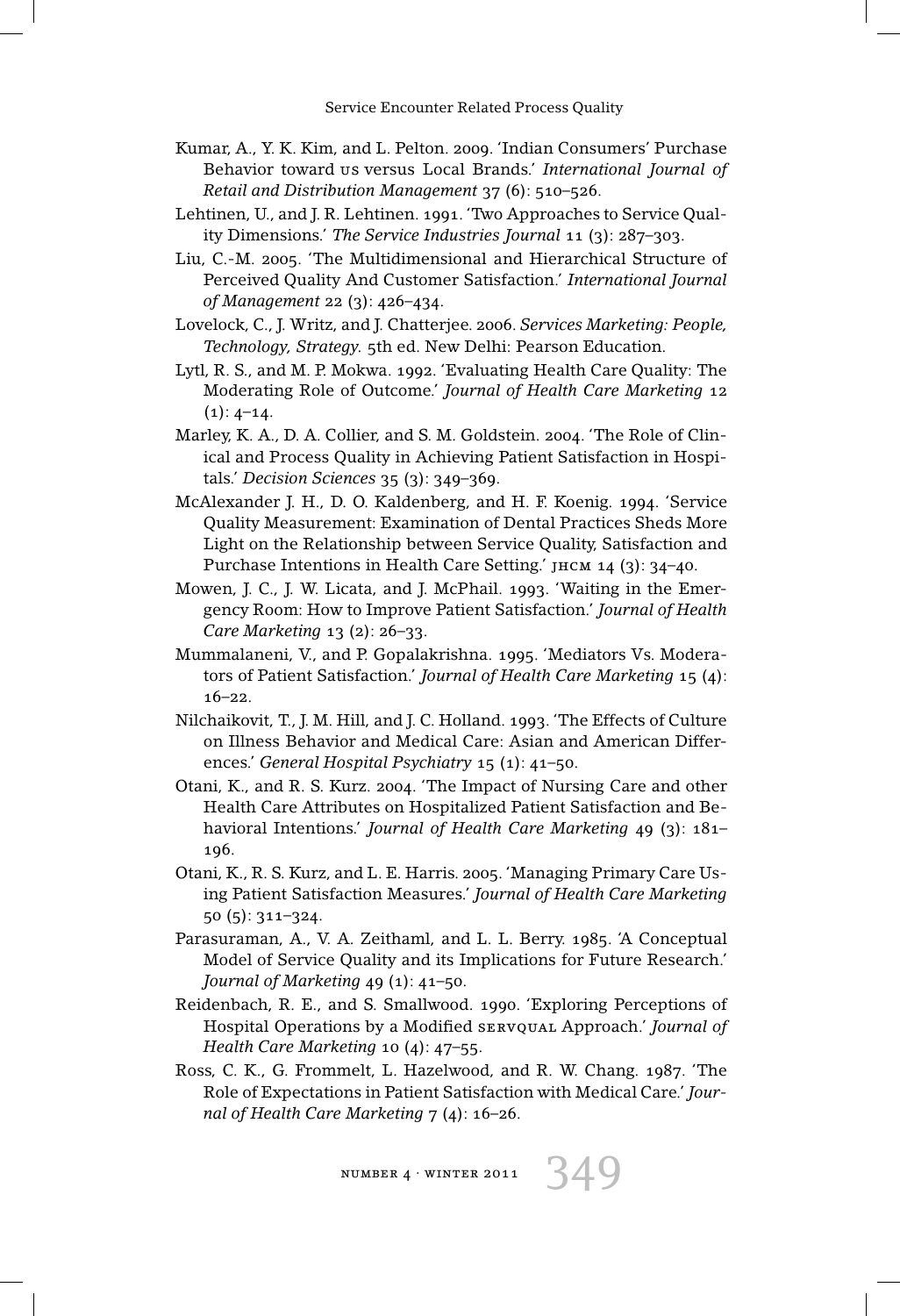- Kumar, A., Y. K. Kim, and L. Pelton. 2009. 'Indian Consumers' Purchase Behavior toward us versus Local Brands.' *International Journal of Retail and Distribution Management* 37 (6): 510–526.
- Lehtinen, U., and J. R. Lehtinen. 1991. 'Two Approaches to Service Quality Dimensions.' *The Service Industries Journal* 11 (3): 287–303.
- Liu, C.-M. 2005. 'The Multidimensional and Hierarchical Structure of Perceived Quality And Customer Satisfaction.' *International Journal of Management* 22 (3): 426–434.
- Lovelock, C., J. Writz, and J. Chatterjee. 2006. *Services Marketing: People, Technology, Strategy.* 5th ed. New Delhi: Pearson Education.
- Lytl, R. S., and M. P. Mokwa. 1992. 'Evaluating Health Care Quality: The Moderating Role of Outcome.' *Journal of Health Care Marketing* 12  $(1): 4-14.$
- Marley, K. A., D. A. Collier, and S. M. Goldstein. 2004. 'The Role of Clinical and Process Quality in Achieving Patient Satisfaction in Hospitals.' *Decision Sciences* 35 (3): 349–369.
- McAlexander J. H., D. O. Kaldenberg, and H. F. Koenig. 1994. 'Service Quality Measurement: Examination of Dental Practices Sheds More Light on the Relationship between Service Quality, Satisfaction and Purchase Intentions in Health Care Setting.' jhcm 14 (3): 34–40.
- Mowen, J. C., J. W. Licata, and J. McPhail. 1993. 'Waiting in the Emergency Room: How to Improve Patient Satisfaction.' *Journal of Health Care Marketing* 13 (2): 26–33.
- Mummalaneni, V., and P. Gopalakrishna. 1995. 'Mediators Vs. Moderators of Patient Satisfaction.' *Journal of Health Care Marketing* 15 (4): 16–22.
- Nilchaikovit, T., J. M. Hill, and J. C. Holland. 1993. 'The Effects of Culture on Illness Behavior and Medical Care: Asian and American Differences.' *General Hospital Psychiatry* 15 (1): 41–50.
- Otani, K., and R. S. Kurz. 2004. 'The Impact of Nursing Care and other Health Care Attributes on Hospitalized Patient Satisfaction and Behavioral Intentions.' *Journal of Health Care Marketing* 49 (3): 181– 196.
- Otani, K., R. S. Kurz, and L. E. Harris. 2005. 'Managing Primary Care Using Patient Satisfaction Measures.' *Journal of Health Care Marketing* 50 (5): 311–324.
- Parasuraman, A., V. A. Zeithaml, and L. L. Berry. 1985. 'A Conceptual Model of Service Quality and its Implications for Future Research.' *Journal of Marketing* 49 (1): 41–50.
- Reidenbach, R. E., and S. Smallwood. 1990. 'Exploring Perceptions of Hospital Operations by a Modified servqual Approach.' *Journal of Health Care Marketing* 10 (4): 47–55.
- Ross, C. K., G. Frommelt, L. Hazelwood, and R. W. Chang. 1987. 'The Role of Expectations in Patient Satisfaction with Medical Care.' *Journal of Health Care Marketing* 7 (4): 16–26.